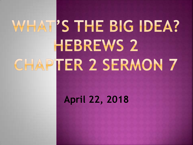# WHAT'S THE BIG IDEA?<br>HEBREWS 2 CHAPTER 2 SERMON 7

**April 22, 2018**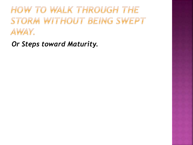HOW TO WALK THROUGH THE STORM WITHOUT BEING SWEPT AWAY.

*Or Steps toward Maturity.*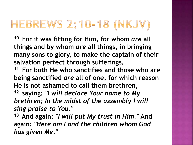# HEBREWS 2:10-18 (NKJV)

**<sup>10</sup>For it was fitting for Him, for whom** *are* **all things and by whom** *are* **all things, in bringing many sons to glory, to make the captain of their salvation perfect through sufferings.** 

**<sup>11</sup>For both He who sanctifies and those who are being sanctified** *are* **all of one, for which reason He is not ashamed to call them brethren,** 

**<sup>12</sup>saying:** *"I will declare Your name to My brethren; In the midst of the assembly I will sing praise to You."*

**<sup>13</sup>And again:** *"I will put My trust in Him."* **And again:** *"Here am I and the children whom God has given Me."*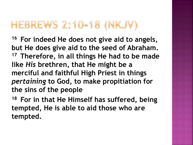# HEBREWS 2:10-18 (NKJV)

**<sup>16</sup>For indeed He does not give aid to angels, but He does give aid to the seed of Abraham. <sup>17</sup>Therefore, in all things He had to be made like** *His* **brethren, that He might be a merciful and faithful High Priest in things**  *pertaining* **to God, to make propitiation for the sins of the people**

**<sup>18</sup>For in that He Himself has suffered, being tempted, He is able to aid those who are tempted.**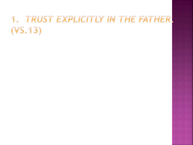## 1. TRUST EXPLICITLY IN THE FATHER.  $(VS, 13)$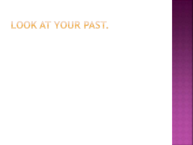## LOOK AT YOUR PAST.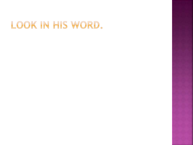## LOOK IN HIS WORD.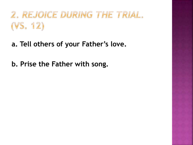# 2. REJOICE DURING THE TRIAL.  $(VS, 12)$

#### **a. Tell others of your Father's love.**

#### **b. Prise the Father with song.**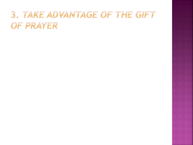### 3. TAKE ADVANTAGE OF THE GIFT OF PRAYER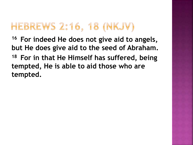## HEBREWS 2:16, 18 (NKJV)

**<sup>16</sup>For indeed He does not give aid to angels, but He does give aid to the seed of Abraham. <sup>18</sup>For in that He Himself has suffered, being tempted, He is able to aid those who are tempted.**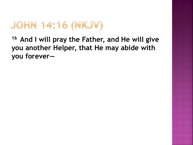# JOHN 14:16 (NKJV)

**<sup>16</sup>And I will pray the Father, and He will give you another Helper, that He may abide with you forever—**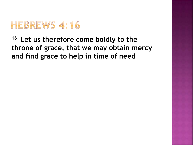## HEBREWS 4:16

**<sup>16</sup>Let us therefore come boldly to the throne of grace, that we may obtain mercy and find grace to help in time of need**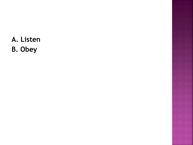**A. Listen B. Obey**